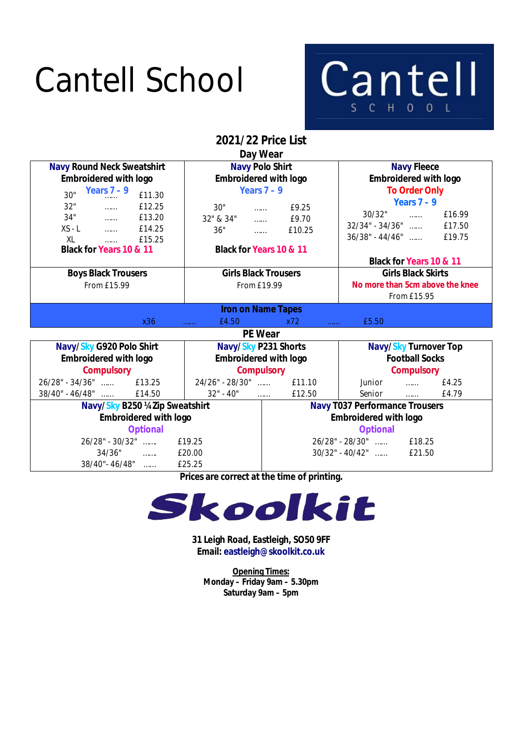## Cantell School



**2021/22 Price List Day Wear**

| Day vvedi                                                    |                                    |                                       |                                    |                         |  |
|--------------------------------------------------------------|------------------------------------|---------------------------------------|------------------------------------|-------------------------|--|
| <b>Navy Round Neck Sweatshirt</b>                            |                                    | <b>Navy Polo Shirt</b>                |                                    | <b>Navy Fleece</b>      |  |
| <b>Embroidered with logo</b>                                 | <b>Embroidered with logo</b>       |                                       | <b>Embroidered with logo</b>       |                         |  |
| Years $7-9$<br>30"<br>£11.30                                 | Years $7 - 9$                      |                                       | <b>To Order Only</b>               |                         |  |
| 32"<br>£12.25<br>$\ldots$                                    | 30"<br>£9.25<br>$\ldots$           |                                       | Years $7 - 9$                      |                         |  |
| 34"<br>£13.20<br>$\sim$                                      | 32" & 34"<br>$\ldots$              | £9.70                                 | 30/32"                             | £16.99<br>$\ldots$      |  |
| $XS - L$<br>£14.25<br>$\sim$                                 | 36"<br>$\sim$                      | £10.25                                | $32/34$ " - $34/36$ "              | £17.50                  |  |
| XL<br>£15.25<br>$\ldots$                                     |                                    |                                       | $36/38" - 44/46"$                  | £19.75                  |  |
| Black for Years 10 & 11                                      | <b>Black for Years 10 &amp; 11</b> |                                       |                                    |                         |  |
|                                                              |                                    |                                       | <b>Black for Years 10 &amp; 11</b> |                         |  |
| <b>Girls Black Trousers</b><br><b>Boys Black Trousers</b>    |                                    |                                       | <b>Girls Black Skirts</b>          |                         |  |
| From £15.99<br>From £19.99                                   |                                    | No more than 5cm above the knee       |                                    |                         |  |
|                                                              |                                    |                                       |                                    | From £15.95             |  |
| <b>Iron on Name Tapes</b>                                    |                                    |                                       |                                    |                         |  |
| x36                                                          | £4.50<br>.                         | x72<br><b><i><u></u></i></b>          | £5.50                              |                         |  |
| <b>PE Wear</b>                                               |                                    |                                       |                                    |                         |  |
| Navy/Sky G920 Polo Shirt<br>Navy/Sky P231 Shorts             |                                    | <b>Navy/Sky Turnover Top</b>          |                                    |                         |  |
| <b>Embroidered with logo</b><br><b>Embroidered with logo</b> |                                    |                                       | <b>Football Socks</b>              |                         |  |
| <b>Compulsory</b>                                            | <b>Compulsory</b>                  |                                       | <b>Compulsory</b>                  |                         |  |
| $26/28" - 34/36"$<br>£13.25                                  | 24/26" - 28/30"                    | £11.10                                | Junior                             | £4.25<br>1.1.1.1        |  |
| $38/40" - 46/48"$<br>£14.50                                  | $32" - 40"$<br>$\ldots$            | £12.50                                | Senior                             | £4.79<br><b>Service</b> |  |
| Navy/Sky B250 ¼ Zip Sweatshirt                               |                                    | <b>Navy T037 Performance Trousers</b> |                                    |                         |  |
| <b>Embroidered with logo</b>                                 |                                    | <b>Embroidered with logo</b>          |                                    |                         |  |
| <b>Optional</b>                                              |                                    | <b>Optional</b>                       |                                    |                         |  |
| 26/28" - 30/32"<br>£19.25                                    |                                    | 26/28" - 28/30"<br>£18.25             |                                    |                         |  |
| 34/36"<br>$\mathcal{L} = \{1, 2, \ldots, n\}$                | £20.00                             |                                       | $30/32$ " - 40/42"                 | £21.50                  |  |
| 38/40"-46/48"                                                | £25.25                             |                                       |                                    |                         |  |

**Prices are correct at the time of printing.**



**31 Leigh Road, Eastleigh, SO50 9FF Email: eastleigh@skoolkit.co.uk**

**Opening Times: Monday – Friday 9am – 5.30pm Saturday 9am – 5pm**